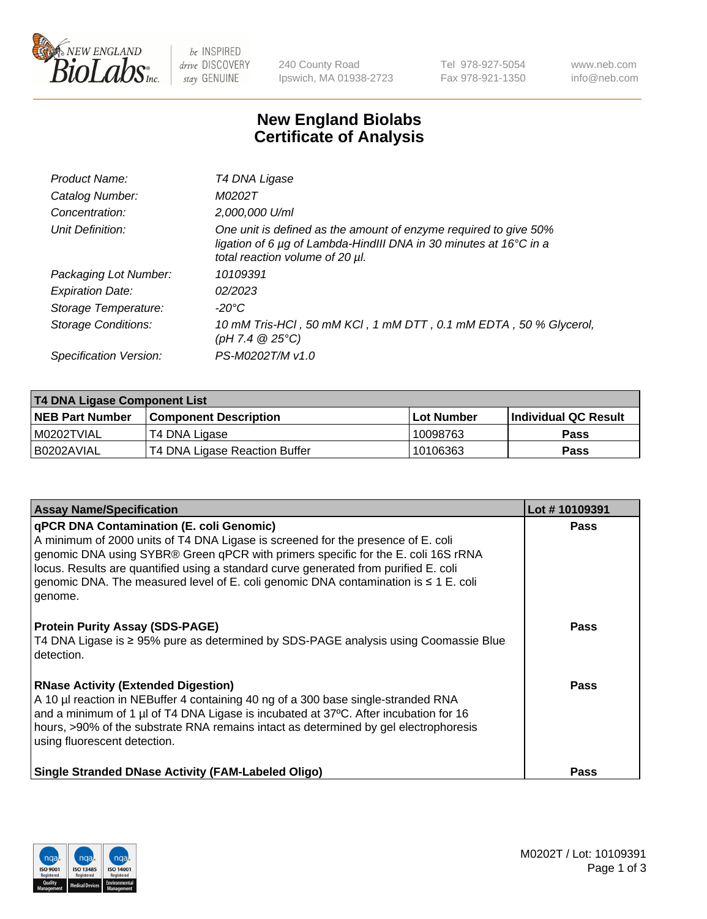

 $be$  INSPIRED drive DISCOVERY stay GENUINE

240 County Road Ipswich, MA 01938-2723 Tel 978-927-5054 Fax 978-921-1350 www.neb.com info@neb.com

## **New England Biolabs Certificate of Analysis**

| Product Name:           | T4 DNA Ligase                                                                                                                                                            |
|-------------------------|--------------------------------------------------------------------------------------------------------------------------------------------------------------------------|
| Catalog Number:         | M0202T                                                                                                                                                                   |
| Concentration:          | 2,000,000 U/ml                                                                                                                                                           |
| Unit Definition:        | One unit is defined as the amount of enzyme required to give 50%<br>ligation of 6 µg of Lambda-HindIII DNA in 30 minutes at 16°C in a<br>total reaction volume of 20 µl. |
| Packaging Lot Number:   | 10109391                                                                                                                                                                 |
| <b>Expiration Date:</b> | 02/2023                                                                                                                                                                  |
| Storage Temperature:    | $-20^{\circ}$ C                                                                                                                                                          |
| Storage Conditions:     | 10 mM Tris-HCl, 50 mM KCl, 1 mM DTT, 0.1 mM EDTA, 50 % Glycerol,<br>(pH 7.4 $@25°C$ )                                                                                    |
| Specification Version:  | PS-M0202T/M v1.0                                                                                                                                                         |

| T4 DNA Ligase Component List |                               |            |                             |  |
|------------------------------|-------------------------------|------------|-----------------------------|--|
| <b>NEB Part Number</b>       | <b>Component Description</b>  | Lot Number | <b>Individual QC Result</b> |  |
| I M0202TVIAL                 | T4 DNA Ligase                 | 10098763   | Pass                        |  |
| I B0202AVIAL                 | T4 DNA Ligase Reaction Buffer | 10106363   | <b>Pass</b>                 |  |

| <b>Assay Name/Specification</b>                                                                                                                                                                                                                                                                                                                                                                                    | Lot #10109391 |
|--------------------------------------------------------------------------------------------------------------------------------------------------------------------------------------------------------------------------------------------------------------------------------------------------------------------------------------------------------------------------------------------------------------------|---------------|
| <b>qPCR DNA Contamination (E. coli Genomic)</b><br>A minimum of 2000 units of T4 DNA Ligase is screened for the presence of E. coli<br>genomic DNA using SYBR® Green qPCR with primers specific for the E. coli 16S rRNA<br>locus. Results are quantified using a standard curve generated from purified E. coli<br>genomic DNA. The measured level of E. coli genomic DNA contamination is ≤ 1 E. coli<br>genome. | <b>Pass</b>   |
| <b>Protein Purity Assay (SDS-PAGE)</b><br>T4 DNA Ligase is ≥ 95% pure as determined by SDS-PAGE analysis using Coomassie Blue<br>detection.                                                                                                                                                                                                                                                                        | Pass          |
| <b>RNase Activity (Extended Digestion)</b><br>A 10 µl reaction in NEBuffer 4 containing 40 ng of a 300 base single-stranded RNA<br>and a minimum of 1 µl of T4 DNA Ligase is incubated at 37°C. After incubation for 16<br>hours, >90% of the substrate RNA remains intact as determined by gel electrophoresis<br>using fluorescent detection.                                                                    | <b>Pass</b>   |
| Single Stranded DNase Activity (FAM-Labeled Oligo)                                                                                                                                                                                                                                                                                                                                                                 | Pass          |

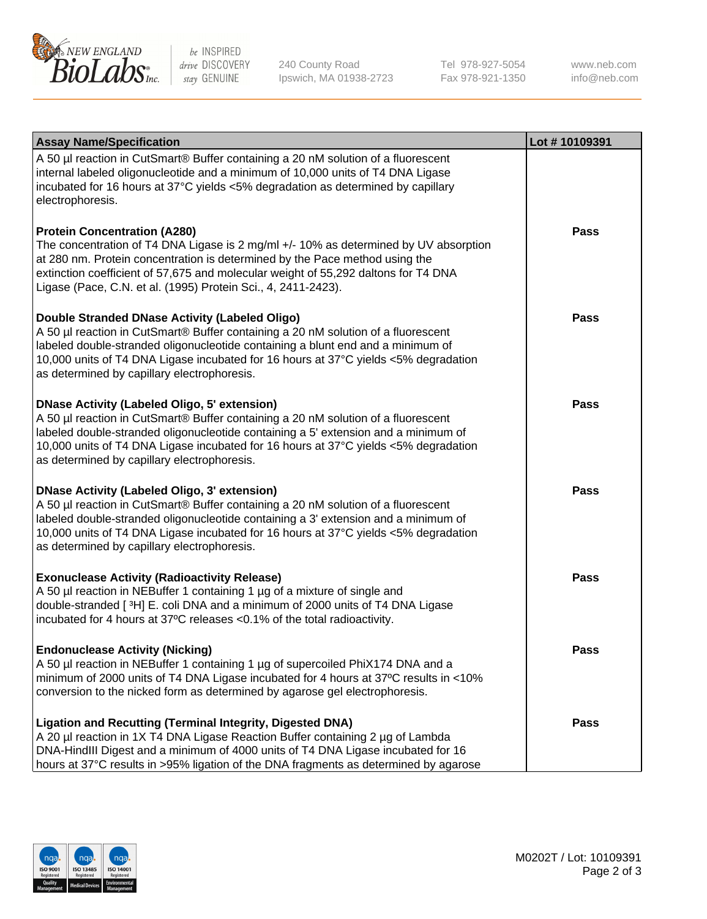

be INSPIRED drive DISCOVERY stay GENUINE

240 County Road Ipswich, MA 01938-2723 Tel 978-927-5054 Fax 978-921-1350

www.neb.com info@neb.com

| <b>Assay Name/Specification</b>                                                                                                                                                                                                                                                                                                                                      | Lot #10109391 |
|----------------------------------------------------------------------------------------------------------------------------------------------------------------------------------------------------------------------------------------------------------------------------------------------------------------------------------------------------------------------|---------------|
| A 50 µl reaction in CutSmart® Buffer containing a 20 nM solution of a fluorescent<br>internal labeled oligonucleotide and a minimum of 10,000 units of T4 DNA Ligase<br>incubated for 16 hours at 37°C yields <5% degradation as determined by capillary<br>electrophoresis.                                                                                         |               |
| <b>Protein Concentration (A280)</b><br>The concentration of T4 DNA Ligase is 2 mg/ml +/- 10% as determined by UV absorption<br>at 280 nm. Protein concentration is determined by the Pace method using the<br>extinction coefficient of 57,675 and molecular weight of 55,292 daltons for T4 DNA<br>Ligase (Pace, C.N. et al. (1995) Protein Sci., 4, 2411-2423).    | Pass          |
| Double Stranded DNase Activity (Labeled Oligo)<br>A 50 µl reaction in CutSmart® Buffer containing a 20 nM solution of a fluorescent<br>labeled double-stranded oligonucleotide containing a blunt end and a minimum of<br>10,000 units of T4 DNA Ligase incubated for 16 hours at 37°C yields <5% degradation<br>as determined by capillary electrophoresis.         | <b>Pass</b>   |
| <b>DNase Activity (Labeled Oligo, 5' extension)</b><br>A 50 µl reaction in CutSmart® Buffer containing a 20 nM solution of a fluorescent<br>labeled double-stranded oligonucleotide containing a 5' extension and a minimum of<br>10,000 units of T4 DNA Ligase incubated for 16 hours at 37°C yields <5% degradation<br>as determined by capillary electrophoresis. | Pass          |
| <b>DNase Activity (Labeled Oligo, 3' extension)</b><br>A 50 µl reaction in CutSmart® Buffer containing a 20 nM solution of a fluorescent<br>labeled double-stranded oligonucleotide containing a 3' extension and a minimum of<br>10,000 units of T4 DNA Ligase incubated for 16 hours at 37°C yields <5% degradation<br>as determined by capillary electrophoresis. | <b>Pass</b>   |
| <b>Exonuclease Activity (Radioactivity Release)</b><br>A 50 µl reaction in NEBuffer 1 containing 1 µg of a mixture of single and<br>double-stranded [3H] E. coli DNA and a minimum of 2000 units of T4 DNA Ligase<br>incubated for 4 hours at 37°C releases <0.1% of the total radioactivity.                                                                        | <b>Pass</b>   |
| <b>Endonuclease Activity (Nicking)</b><br>A 50 µl reaction in NEBuffer 1 containing 1 µg of supercoiled PhiX174 DNA and a<br>minimum of 2000 units of T4 DNA Ligase incubated for 4 hours at 37°C results in <10%<br>conversion to the nicked form as determined by agarose gel electrophoresis.                                                                     | Pass          |
| <b>Ligation and Recutting (Terminal Integrity, Digested DNA)</b><br>A 20 µl reaction in 1X T4 DNA Ligase Reaction Buffer containing 2 µg of Lambda<br>DNA-HindIII Digest and a minimum of 4000 units of T4 DNA Ligase incubated for 16<br>hours at 37°C results in >95% ligation of the DNA fragments as determined by agarose                                       | Pass          |